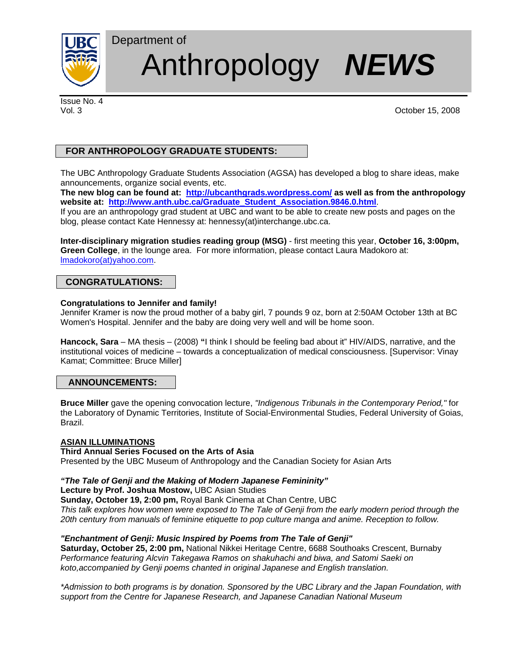

# Department of Anthropology *NEWS*

Issue No. 4

Vol. 3 October 15, 2008

## **FOR ANTHROPOLOGY GRADUATE STUDENTS:**

The UBC Anthropology Graduate Students Association (AGSA) has developed a blog to share ideas, make announcements, organize social events, etc.

**The new blog can be found at: http://ubcanthgrads.wordpress.com/ as well as from the anthropology website at: http://www.anth.ubc.ca/Graduate\_Student\_Association.9846.0.html**.

If you are an anthropology grad student at UBC and want to be able to create new posts and pages on the blog, please contact Kate Hennessy at: hennessy(at)interchange.ubc.ca.

**Inter-disciplinary migration studies reading group (MSG)** - first meeting this year, **October 16, 3:00pm, Green College**, in the lounge area. For more information, please contact Laura Madokoro at: lmadokoro(at)yahoo.com.

## **CONGRATULATIONS:**

#### **Congratulations to Jennifer and family!**

Jennifer Kramer is now the proud mother of a baby girl, 7 pounds 9 oz, born at 2:50AM October 13th at BC Women's Hospital. Jennifer and the baby are doing very well and will be home soon.

**Hancock, Sara** – MA thesis – (2008) **"**I think I should be feeling bad about it" HIV/AIDS, narrative, and the institutional voices of medicine – towards a conceptualization of medical consciousness. [Supervisor: Vinay Kamat; Committee: Bruce Miller]

## **ANNOUNCEMENTS:**

**Bruce Miller** gave the opening convocation lecture, *"Indigenous Tribunals in the Contemporary Period,"* for the Laboratory of Dynamic Territories, Institute of Social-Environmental Studies, Federal University of Goias, Brazil.

## **ASIAN ILLUMINATIONS**

#### **Third Annual Series Focused on the Arts of Asia**

Presented by the UBC Museum of Anthropology and the Canadian Society for Asian Arts

### *"The Tale of Genji and the Making of Modern Japanese Femininity"*

**Lecture by Prof. Joshua Mostow,** UBC Asian Studies

**Sunday, October 19, 2:00 pm,** Royal Bank Cinema at Chan Centre, UBC

*This talk explores how women were exposed to The Tale of Genji from the early modern period through the 20th century from manuals of feminine etiquette to pop culture manga and anime. Reception to follow.* 

#### *"Enchantment of Genji: Music Inspired by Poems from The Tale of Genji"*

**Saturday, October 25, 2:00 pm,** National Nikkei Heritage Centre, 6688 Southoaks Crescent, Burnaby *Performance featuring Alcvin Takegawa Ramos on shakuhachi and biwa, and Satomi Saeki on koto,accompanied by Genji poems chanted in original Japanese and English translation.* 

*\*Admission to both programs is by donation. Sponsored by the UBC Library and the Japan Foundation, with support from the Centre for Japanese Research, and Japanese Canadian National Museum*